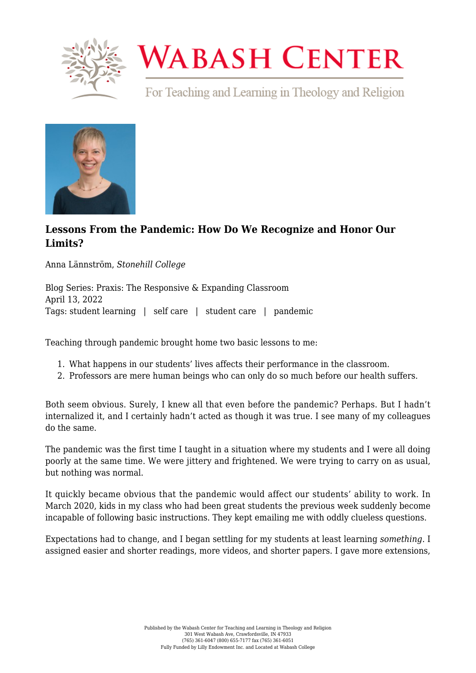

## **WABASH CENTER**

For Teaching and Learning in Theology and Religion



## **[Lessons From the Pandemic: How Do We Recognize and Honor Our](https://www.wabashcenter.wabash.edu/2022/04/lessons-from-the-pandemic-how-do-we-recognize-and-honor-our-limits/) [Limits?](https://www.wabashcenter.wabash.edu/2022/04/lessons-from-the-pandemic-how-do-we-recognize-and-honor-our-limits/)**

Anna Lännström, *Stonehill College*

Blog Series: Praxis: The Responsive & Expanding Classroom April 13, 2022 Tags: student learning | self care | student care | pandemic

Teaching through pandemic brought home two basic lessons to me:

- 1. What happens in our students' lives affects their performance in the classroom.
- 2. Professors are mere human beings who can only do so much before our health suffers.

Both seem obvious. Surely, I knew all that even before the pandemic? Perhaps. But I hadn't internalized it, and I certainly hadn't acted as though it was true. I see many of my colleagues do the same.

The pandemic was the first time I taught in a situation where my students and I were all doing poorly at the same time. We were jittery and frightened. We were trying to carry on as usual, but nothing was normal.

It quickly became obvious that the pandemic would affect our students' ability to work. In March 2020, kids in my class who had been great students the previous week suddenly become incapable of following basic instructions. They kept emailing me with oddly clueless questions.

Expectations had to change, and I began settling for my students at least learning *something*. I assigned easier and shorter readings, more videos, and shorter papers. I gave more extensions,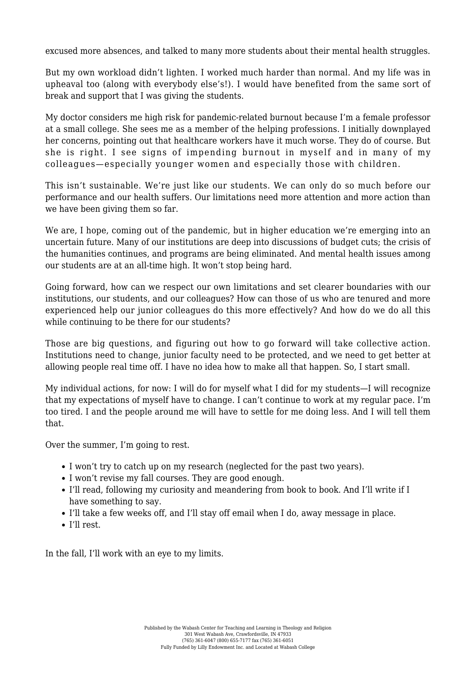excused more absences, and talked to many more students about their mental health struggles.

But my own workload didn't lighten. I worked much harder than normal. And my life was in upheaval too (along with everybody else's!). I would have benefited from the same sort of break and support that I was giving the students.

My doctor considers me high risk for pandemic-related burnout because I'm a female professor at a small college. She sees me as a member of the helping professions. I initially downplayed her concerns, pointing out that healthcare workers have it much worse. They do of course. But she is right. I see signs of impending burnout in myself and in many of my colleagues—especially younger women and especially those with children.

This isn't sustainable. We're just like our students. We can only do so much before our performance and our health suffers. Our limitations need more attention and more action than we have been giving them so far.

We are, I hope, coming out of the pandemic, but in higher education we're emerging into an uncertain future. Many of our institutions are deep into discussions of budget cuts; the crisis of the humanities continues, and programs are being eliminated. And mental health issues among our students are at an all-time high. It won't stop being hard.

Going forward, how can we respect our own limitations and set clearer boundaries with our institutions, our students, and our colleagues? How can those of us who are tenured and more experienced help our junior colleagues do this more effectively? And how do we do all this while continuing to be there for our students?

Those are big questions, and figuring out how to go forward will take collective action. Institutions need to change, junior faculty need to be protected, and we need to get better at allowing people real time off. I have no idea how to make all that happen. So, I start small.

My individual actions, for now: I will do for myself what I did for my students—I will recognize that my expectations of myself have to change. I can't continue to work at my regular pace. I'm too tired. I and the people around me will have to settle for me doing less. And I will tell them that.

Over the summer, I'm going to rest.

- I won't try to catch up on my research (neglected for the past two years).
- I won't revise my fall courses. They are good enough.
- I'll read, following my curiosity and meandering from book to book. And I'll write if I have something to say.
- I'll take a few weeks off, and I'll stay off email when I do, away message in place.
- I'll rest.

In the fall, I'll work with an eye to my limits.